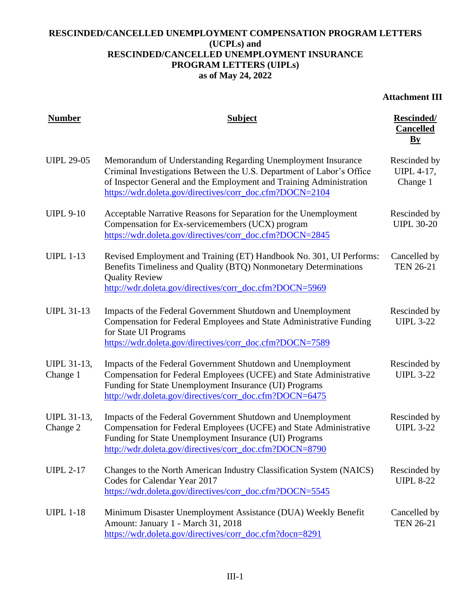## **RESCINDED/CANCELLED UNEMPLOYMENT COMPENSATION PROGRAM LETTERS (UCPLs) and RESCINDED/CANCELLED UNEMPLOYMENT INSURANCE PROGRAM LETTERS (UIPLs) as of May 24, 2022**

## **Attachment III**

| <b>Number</b>                  | <b>Subject</b>                                                                                                                                                                                                                                                           | <b>Rescinded/</b><br><b>Cancelled</b><br>$\mathbf{B}\mathbf{y}$ |
|--------------------------------|--------------------------------------------------------------------------------------------------------------------------------------------------------------------------------------------------------------------------------------------------------------------------|-----------------------------------------------------------------|
| <b>UIPL 29-05</b>              | Memorandum of Understanding Regarding Unemployment Insurance<br>Criminal Investigations Between the U.S. Department of Labor's Office<br>of Inspector General and the Employment and Training Administration<br>https://wdr.doleta.gov/directives/corr_doc.cfm?DOCN=2104 | Rescinded by<br><b>UIPL 4-17,</b><br>Change 1                   |
| <b>UIPL 9-10</b>               | Acceptable Narrative Reasons for Separation for the Unemployment<br>Compensation for Ex-servicemembers (UCX) program<br>https://wdr.doleta.gov/directives/corr_doc.cfm?DOCN=2845                                                                                         | Rescinded by<br><b>UIPL 30-20</b>                               |
| <b>UIPL 1-13</b>               | Revised Employment and Training (ET) Handbook No. 301, UI Performs:<br>Benefits Timeliness and Quality (BTQ) Nonmonetary Determinations<br><b>Quality Review</b><br>http://wdr.doleta.gov/directives/corr_doc.cfm?DOCN=5969                                              | Cancelled by<br><b>TEN 26-21</b>                                |
| <b>UIPL 31-13</b>              | Impacts of the Federal Government Shutdown and Unemployment<br>Compensation for Federal Employees and State Administrative Funding<br>for State UI Programs<br>https://wdr.doleta.gov/directives/corr_doc.cfm?DOCN=7589                                                  | Rescinded by<br><b>UIPL 3-22</b>                                |
| <b>UIPL 31-13,</b><br>Change 1 | Impacts of the Federal Government Shutdown and Unemployment<br>Compensation for Federal Employees (UCFE) and State Administrative<br>Funding for State Unemployment Insurance (UI) Programs<br>http://wdr.doleta.gov/directives/corr_doc.cfm?DOCN=6475                   | Rescinded by<br><b>UIPL 3-22</b>                                |
| <b>UIPL 31-13,</b><br>Change 2 | Impacts of the Federal Government Shutdown and Unemployment<br>Compensation for Federal Employees (UCFE) and State Administrative<br>Funding for State Unemployment Insurance (UI) Programs<br>http://wdr.doleta.gov/directives/corr_doc.cfm?DOCN=8790                   | Rescinded by<br><b>UIPL 3-22</b>                                |
| <b>UIPL 2-17</b>               | Changes to the North American Industry Classification System (NAICS)<br>Codes for Calendar Year 2017<br>https://wdr.doleta.gov/directives/corr_doc.cfm?DOCN=5545                                                                                                         | Rescinded by<br><b>UIPL 8-22</b>                                |
| <b>UIPL 1-18</b>               | Minimum Disaster Unemployment Assistance (DUA) Weekly Benefit<br>Amount: January 1 - March 31, 2018<br>https://wdr.doleta.gov/directives/corr_doc.cfm?docn=8291                                                                                                          | Cancelled by<br><b>TEN 26-21</b>                                |